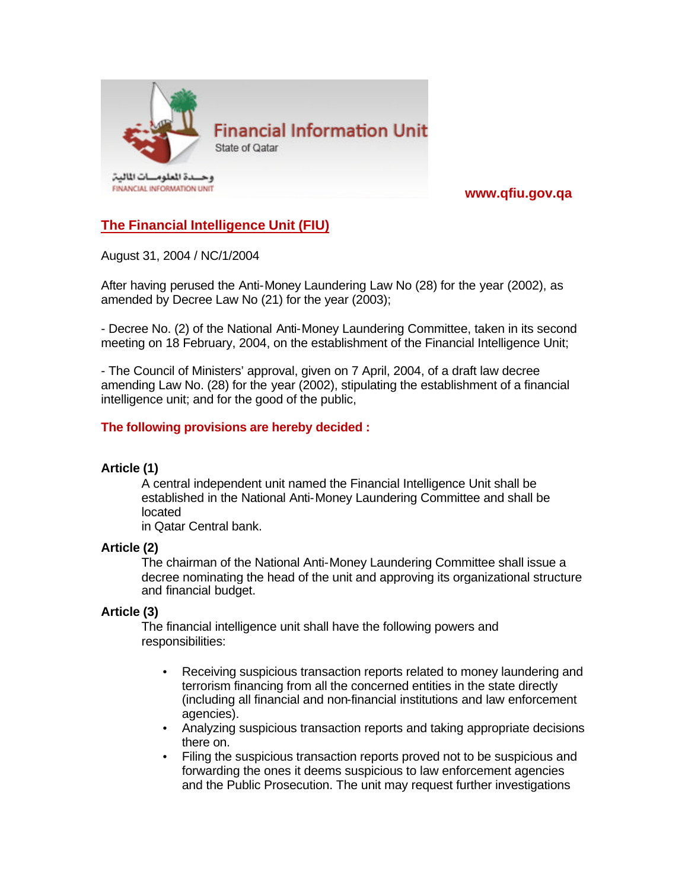

# **www.qfiu.gov.qa**

# **The Financial Intelligence Unit (FIU)**

August 31, 2004 / NC/1/2004

After having perused the Anti-Money Laundering Law No (28) for the year (2002), as amended by Decree Law No (21) for the year (2003);

- Decree No. (2) of the National Anti-Money Laundering Committee, taken in its second meeting on 18 February, 2004, on the establishment of the Financial Intelligence Unit;

- The Council of Ministers' approval, given on 7 April, 2004, of a draft law decree amending Law No. (28) for the year (2002), stipulating the establishment of a financial intelligence unit; and for the good of the public,

## **The following provisions are hereby decided :**

#### **Article (1)**

A central independent unit named the Financial Intelligence Unit shall be established in the National Anti-Money Laundering Committee and shall be located

in Qatar Central bank.

#### **Article (2)**

The chairman of the National Anti-Money Laundering Committee shall issue a decree nominating the head of the unit and approving its organizational structure and financial budget.

#### **Article (3)**

The financial intelligence unit shall have the following powers and responsibilities:

- Receiving suspicious transaction reports related to money laundering and terrorism financing from all the concerned entities in the state directly (including all financial and non-financial institutions and law enforcement agencies).
- Analyzing suspicious transaction reports and taking appropriate decisions there on.
- Filing the suspicious transaction reports proved not to be suspicious and forwarding the ones it deems suspicious to law enforcement agencies and the Public Prosecution. The unit may request further investigations